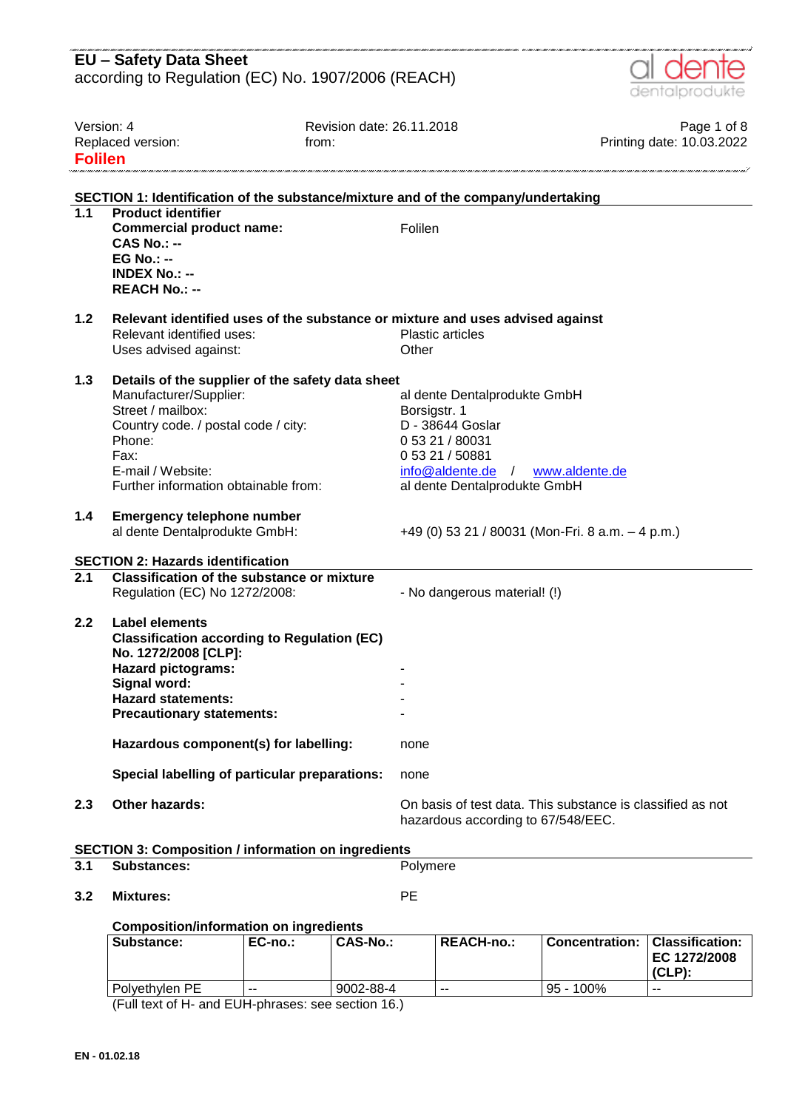|                  | <b>EU - Safety Data Sheet</b><br>according to Regulation (EC) No. 1907/2006 (REACH)           |                                                                                                  |                                          |
|------------------|-----------------------------------------------------------------------------------------------|--------------------------------------------------------------------------------------------------|------------------------------------------|
|                  |                                                                                               |                                                                                                  | dentalprodukte                           |
|                  |                                                                                               |                                                                                                  |                                          |
| Version: 4       | Replaced version:                                                                             | Revision date: 26.11.2018<br>from:                                                               | Page 1 of 8<br>Printing date: 10.03.2022 |
| <b>Folilen</b>   |                                                                                               |                                                                                                  |                                          |
|                  |                                                                                               |                                                                                                  |                                          |
|                  |                                                                                               | SECTION 1: Identification of the substance/mixture and of the company/undertaking                |                                          |
| $\overline{1.1}$ | <b>Product identifier</b>                                                                     |                                                                                                  |                                          |
|                  | <b>Commercial product name:</b>                                                               | Folilen                                                                                          |                                          |
|                  | $CAS No. : -$<br>$EG No.: -$                                                                  |                                                                                                  |                                          |
|                  | <b>INDEX No.: --</b>                                                                          |                                                                                                  |                                          |
|                  | <b>REACH No.: --</b>                                                                          |                                                                                                  |                                          |
| 1.2              |                                                                                               | Relevant identified uses of the substance or mixture and uses advised against                    |                                          |
|                  | Relevant identified uses:                                                                     | <b>Plastic articles</b>                                                                          |                                          |
|                  | Uses advised against:                                                                         | Other                                                                                            |                                          |
|                  |                                                                                               |                                                                                                  |                                          |
| 1.3              | Details of the supplier of the safety data sheet                                              |                                                                                                  |                                          |
|                  | Manufacturer/Supplier:<br>Street / mailbox:                                                   | al dente Dentalprodukte GmbH<br>Borsigstr. 1                                                     |                                          |
|                  | Country code. / postal code / city:                                                           | D - 38644 Goslar                                                                                 |                                          |
|                  | Phone:                                                                                        | 0 53 21 / 80031                                                                                  |                                          |
|                  | Fax:                                                                                          | 0 53 21 / 50881                                                                                  |                                          |
|                  | E-mail / Website:                                                                             | $info@aldente.de$ /                                                                              | www.aldente.de                           |
|                  | Further information obtainable from:                                                          | al dente Dentalprodukte GmbH                                                                     |                                          |
| 1.4              | <b>Emergency telephone number</b><br>al dente Dentalprodukte GmbH:                            | +49 (0) 53 21 / 80031 (Mon-Fri. 8 a.m. $-$ 4 p.m.)                                               |                                          |
|                  |                                                                                               |                                                                                                  |                                          |
| $\overline{2.1}$ | <b>SECTION 2: Hazards identification</b><br><b>Classification of the substance or mixture</b> |                                                                                                  |                                          |
|                  | Regulation (EC) No 1272/2008:                                                                 | - No dangerous material! (!)                                                                     |                                          |
|                  |                                                                                               |                                                                                                  |                                          |
| 2.2              | Label elements                                                                                |                                                                                                  |                                          |
|                  | <b>Classification according to Regulation (EC)</b><br>No. 1272/2008 [CLP]:                    |                                                                                                  |                                          |
|                  | <b>Hazard pictograms:</b>                                                                     |                                                                                                  |                                          |
|                  | Signal word:                                                                                  |                                                                                                  |                                          |
|                  | <b>Hazard statements:</b>                                                                     |                                                                                                  |                                          |
|                  | <b>Precautionary statements:</b>                                                              |                                                                                                  |                                          |
|                  | Hazardous component(s) for labelling:                                                         | none                                                                                             |                                          |
|                  | Special labelling of particular preparations:                                                 | none                                                                                             |                                          |
| 2.3              | <b>Other hazards:</b>                                                                         | On basis of test data. This substance is classified as not<br>hazardous according to 67/548/EEC. |                                          |
|                  | <b>SECTION 3: Composition / information on ingredients</b>                                    |                                                                                                  |                                          |
| 3.1              | <b>Substances:</b>                                                                            | Polymere                                                                                         |                                          |
| 3.2              | <b>Mixtures:</b>                                                                              | PE                                                                                               |                                          |

#### **Composition/information on ingredients**

| Substance:        | $EC-no.$ | <b>CAS-No.:</b> | <b>REACH-no.:</b> | <b>Concentration:</b> | Classification:<br>EC 1272/2008<br>$(CLP)$ : |
|-------------------|----------|-----------------|-------------------|-----------------------|----------------------------------------------|
| l Polvethvlen PE_ | $- -$    | 9002-88-4       | $- -$             | $95 - 100\%$          | --                                           |

(Full text of H- and EUH-phrases: see section 16.)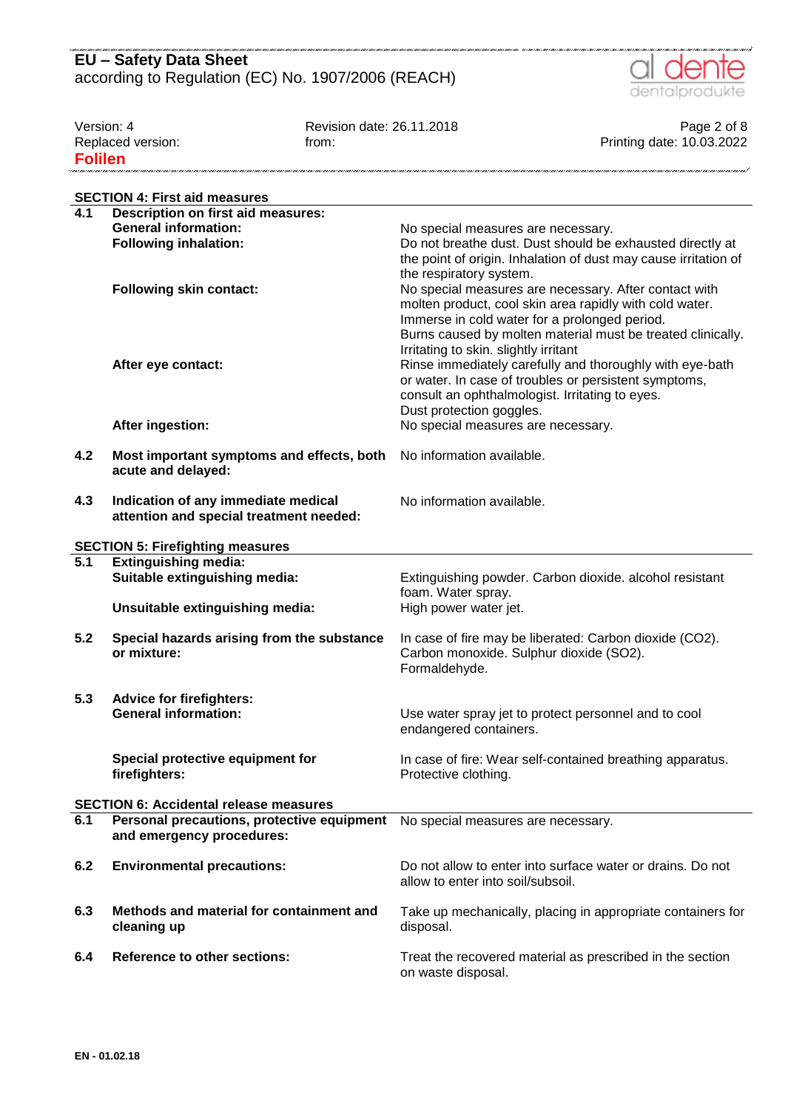

| Version: 4        | Revision date: 26.11.2018 | Page 2 of 8               |
|-------------------|---------------------------|---------------------------|
| Replaced version: | trom:                     | Printing date: 10.03.2022 |
| <b>Folilen</b>    |                           |                           |

|                  | <b>SECTION 4: First aid measures</b>                                           |                                                                                                                                                                                                                                                                           |
|------------------|--------------------------------------------------------------------------------|---------------------------------------------------------------------------------------------------------------------------------------------------------------------------------------------------------------------------------------------------------------------------|
| 4.1              | <b>Description on first aid measures:</b>                                      |                                                                                                                                                                                                                                                                           |
|                  | <b>General information:</b>                                                    | No special measures are necessary.                                                                                                                                                                                                                                        |
|                  | <b>Following inhalation:</b>                                                   | Do not breathe dust. Dust should be exhausted directly at<br>the point of origin. Inhalation of dust may cause irritation of<br>the respiratory system.                                                                                                                   |
|                  | <b>Following skin contact:</b>                                                 | No special measures are necessary. After contact with<br>molten product, cool skin area rapidly with cold water.<br>Immerse in cold water for a prolonged period.<br>Burns caused by molten material must be treated clinically.<br>Irritating to skin. slightly irritant |
|                  | After eye contact:                                                             | Rinse immediately carefully and thoroughly with eye-bath<br>or water. In case of troubles or persistent symptoms,<br>consult an ophthalmologist. Irritating to eyes.<br>Dust protection goggles.                                                                          |
|                  | After ingestion:                                                               | No special measures are necessary.                                                                                                                                                                                                                                        |
| 4.2              | Most important symptoms and effects, both<br>acute and delayed:                | No information available.                                                                                                                                                                                                                                                 |
| 4.3              | Indication of any immediate medical<br>attention and special treatment needed: | No information available.                                                                                                                                                                                                                                                 |
|                  | <b>SECTION 5: Firefighting measures</b>                                        |                                                                                                                                                                                                                                                                           |
| $\overline{5.1}$ | <b>Extinguishing media:</b>                                                    |                                                                                                                                                                                                                                                                           |
|                  | Suitable extinguishing media:                                                  | Extinguishing powder. Carbon dioxide. alcohol resistant                                                                                                                                                                                                                   |
|                  | Unsuitable extinguishing media:                                                | foam. Water spray.<br>High power water jet.                                                                                                                                                                                                                               |
| 5.2              | Special hazards arising from the substance<br>or mixture:                      | In case of fire may be liberated: Carbon dioxide (CO2).<br>Carbon monoxide. Sulphur dioxide (SO2).<br>Formaldehyde.                                                                                                                                                       |
| 5.3              | <b>Advice for firefighters:</b>                                                |                                                                                                                                                                                                                                                                           |
|                  | <b>General information:</b>                                                    | Use water spray jet to protect personnel and to cool<br>endangered containers.                                                                                                                                                                                            |
|                  | Special protective equipment for<br>firefighters:                              | In case of fire: Wear self-contained breathing apparatus.<br>Protective clothing.                                                                                                                                                                                         |
|                  | <b>SECTION 6: Accidental release measures</b>                                  |                                                                                                                                                                                                                                                                           |
| 6.1              | Personal precautions, protective equipment<br>and emergency procedures:        | No special measures are necessary.                                                                                                                                                                                                                                        |
| 6.2              | <b>Environmental precautions:</b>                                              | Do not allow to enter into surface water or drains. Do not<br>allow to enter into soil/subsoil.                                                                                                                                                                           |
| 6.3              | Methods and material for containment and<br>cleaning up                        | Take up mechanically, placing in appropriate containers for<br>disposal.                                                                                                                                                                                                  |
| 6.4              | <b>Reference to other sections:</b>                                            | Treat the recovered material as prescribed in the section<br>on waste disposal.                                                                                                                                                                                           |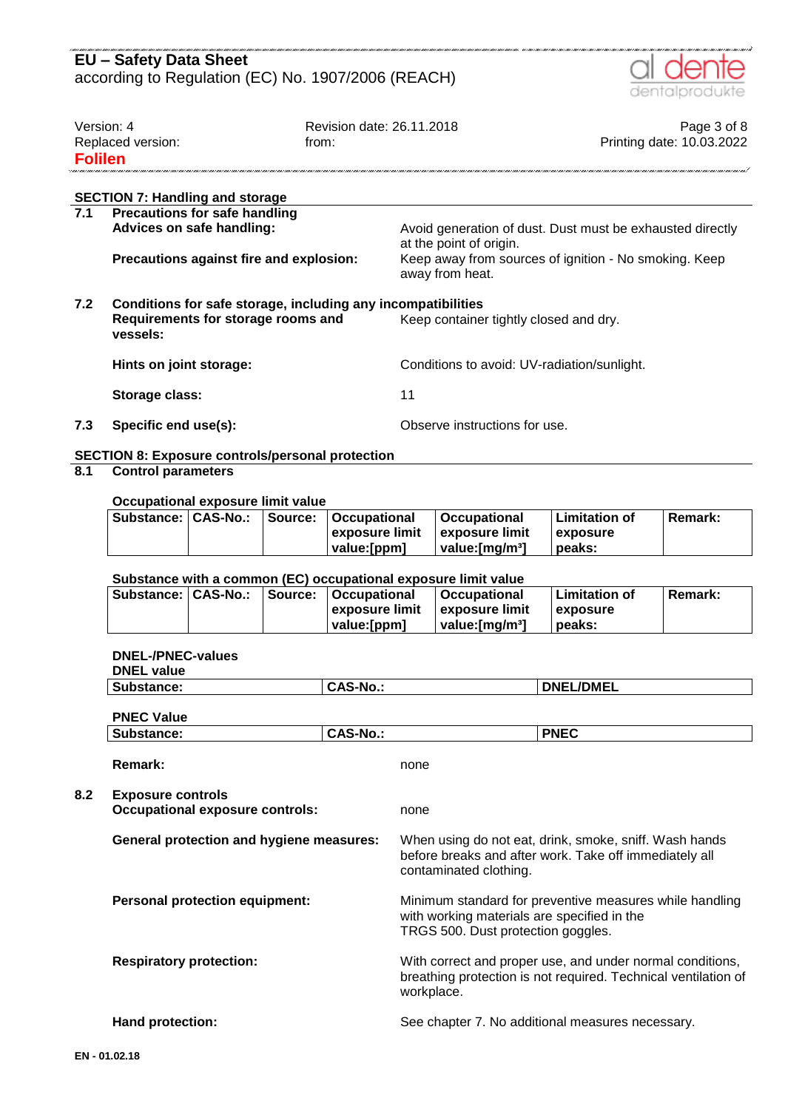#### nie cane chiec nie cane chiec nie chiec nie chiec nie chiec ni **EU – Safety Data Sheet** according to Regulation (EC) No. 1907/2006 (REACH)



,,,,,,,,,,,,,,,,,,,,,,,,,,,,,,,

| Version: 4        | Revision date: 26.11.2018 | Page 3 of 8               |
|-------------------|---------------------------|---------------------------|
| Replaced version: | from:                     | Printing date: 10.03.2022 |
| <b>Folilen</b>    |                           |                           |
|                   |                           |                           |

#### **SECTION 7: Handling and storage**

| 7.1 | <b>Precautions for safe handling</b>                         |                                                                                      |  |  |  |
|-----|--------------------------------------------------------------|--------------------------------------------------------------------------------------|--|--|--|
|     | Advices on safe handling:                                    | Avoid generation of dust. Dust must be exhausted directly<br>at the point of origin. |  |  |  |
|     | Precautions against fire and explosion:                      | Keep away from sources of ignition - No smoking. Keep<br>away from heat.             |  |  |  |
| 7.2 | Conditions for safe storage, including any incompatibilities |                                                                                      |  |  |  |
|     | Requirements for storage rooms and<br>vessels:               | Keep container tightly closed and dry.                                               |  |  |  |
|     | Hints on joint storage:                                      | Conditions to avoid: UV-radiation/sunlight.                                          |  |  |  |
|     | Storage class:                                               | 11                                                                                   |  |  |  |
| 7.3 | Specific end use(s):                                         | Observe instructions for use.                                                        |  |  |  |

#### **SECTION 8: Exposure controls/personal protection**

### **8.1 Control parameters**

#### **Occupational exposure limit value**

|  | Substance:   CAS-No.:   Source:   Occupational | <b>∣Occupational</b>              | l Limitation of  | Remark: |
|--|------------------------------------------------|-----------------------------------|------------------|---------|
|  | ∣exposure limit ∣exposure limit                |                                   | <b>Lexposure</b> |         |
|  | value: [ppm]                                   | $\blacksquare$ value: [mɑ/m $3$ ] | peaks:           |         |

#### **Substance with a common (EC) occupational exposure limit value**

| Substance:   CAS-No.: |  | Source:   Occupational | <b>∣Occupational</b>        | Limitation of    | <b>Remark:</b> |
|-----------------------|--|------------------------|-----------------------------|------------------|----------------|
|                       |  | l exposure limit       | ⊟exposure limit             | <b>Lexposure</b> |                |
|                       |  | value:[ppm]            | value: [mɑ/m <sup>3</sup> ] | peaks:           |                |

#### **DNEL-/PNEC-values**

|             | <b>DNEL value</b>                                                  |                 |                                                                                                                                            |                                                                                                                             |  |
|-------------|--------------------------------------------------------------------|-----------------|--------------------------------------------------------------------------------------------------------------------------------------------|-----------------------------------------------------------------------------------------------------------------------------|--|
|             | Substance:                                                         | <b>CAS-No.:</b> |                                                                                                                                            | <b>DNEL/DMEL</b>                                                                                                            |  |
|             | <b>PNEC Value</b>                                                  |                 |                                                                                                                                            |                                                                                                                             |  |
|             | Substance:                                                         | <b>CAS-No.:</b> |                                                                                                                                            | <b>PNEC</b>                                                                                                                 |  |
|             | Remark:                                                            |                 | none                                                                                                                                       |                                                                                                                             |  |
| 8.2         | <b>Exposure controls</b><br><b>Occupational exposure controls:</b> |                 | none                                                                                                                                       |                                                                                                                             |  |
|             | <b>General protection and hygiene measures:</b>                    |                 | When using do not eat, drink, smoke, sniff. Wash hands<br>before breaks and after work. Take off immediately all<br>contaminated clothing. |                                                                                                                             |  |
|             | <b>Personal protection equipment:</b>                              |                 | with working materials are specified in the<br>TRGS 500. Dust protection goggles.                                                          | Minimum standard for preventive measures while handling                                                                     |  |
|             | <b>Respiratory protection:</b>                                     |                 | workplace.                                                                                                                                 | With correct and proper use, and under normal conditions,<br>breathing protection is not required. Technical ventilation of |  |
|             | Hand protection:                                                   |                 |                                                                                                                                            | See chapter 7. No additional measures necessary.                                                                            |  |
| EN-01.02.18 |                                                                    |                 |                                                                                                                                            |                                                                                                                             |  |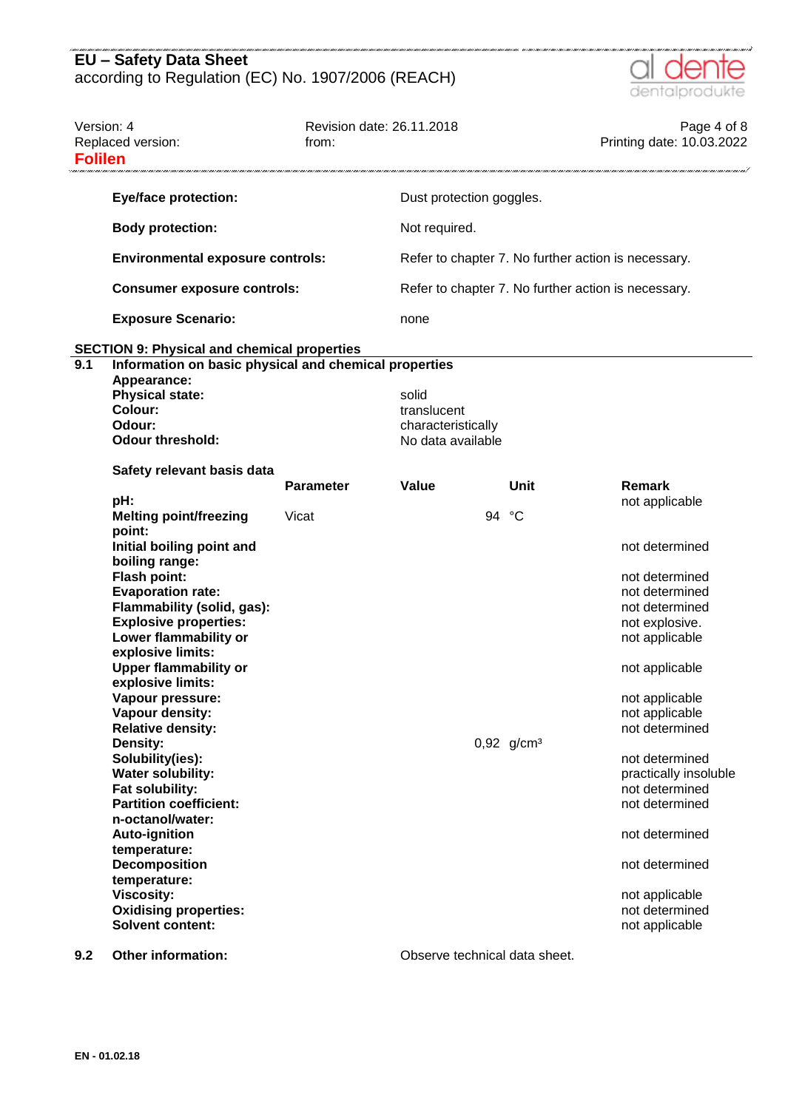

| Version: 4<br><b>Folilen</b> | Replaced version:                                     | Revision date: 26.11.2018<br>from: |                          |       |                          | Page 4 of 8<br>Printing date: 10.03.2022            |
|------------------------------|-------------------------------------------------------|------------------------------------|--------------------------|-------|--------------------------|-----------------------------------------------------|
|                              | <b>Eye/face protection:</b>                           |                                    | Dust protection goggles. |       |                          |                                                     |
|                              | <b>Body protection:</b>                               |                                    | Not required.            |       |                          |                                                     |
|                              | <b>Environmental exposure controls:</b>               |                                    |                          |       |                          | Refer to chapter 7. No further action is necessary. |
|                              | <b>Consumer exposure controls:</b>                    |                                    |                          |       |                          | Refer to chapter 7. No further action is necessary. |
|                              | <b>Exposure Scenario:</b>                             |                                    | none                     |       |                          |                                                     |
| 9.1                          | <b>SECTION 9: Physical and chemical properties</b>    |                                    |                          |       |                          |                                                     |
|                              | Information on basic physical and chemical properties |                                    |                          |       |                          |                                                     |
|                              | Appearance:                                           |                                    |                          |       |                          |                                                     |
|                              | <b>Physical state:</b>                                |                                    | solid                    |       |                          |                                                     |
|                              | Colour:                                               |                                    | translucent              |       |                          |                                                     |
|                              | Odour:                                                |                                    | characteristically       |       |                          |                                                     |
|                              | <b>Odour threshold:</b>                               |                                    | No data available        |       |                          |                                                     |
|                              | Safety relevant basis data                            |                                    |                          |       |                          |                                                     |
|                              |                                                       | <b>Parameter</b>                   | Value                    |       | Unit                     | Remark                                              |
|                              | pH:                                                   |                                    |                          |       |                          | not applicable                                      |
|                              | <b>Melting point/freezing</b>                         | Vicat                              |                          | 94 °C |                          |                                                     |
|                              | point:                                                |                                    |                          |       |                          |                                                     |
|                              | Initial boiling point and                             |                                    |                          |       |                          | not determined                                      |
|                              |                                                       |                                    |                          |       |                          |                                                     |
|                              | boiling range:                                        |                                    |                          |       |                          |                                                     |
|                              | <b>Flash point:</b>                                   |                                    |                          |       |                          | not determined                                      |
|                              | <b>Evaporation rate:</b>                              |                                    |                          |       |                          | not determined                                      |
|                              | Flammability (solid, gas):                            |                                    |                          |       |                          | not determined                                      |
|                              | <b>Explosive properties:</b>                          |                                    |                          |       |                          | not explosive.                                      |
|                              | Lower flammability or                                 |                                    |                          |       |                          | not applicable                                      |
|                              | explosive limits:                                     |                                    |                          |       |                          |                                                     |
|                              | <b>Upper flammability or</b>                          |                                    |                          |       |                          | not applicable                                      |
|                              |                                                       |                                    |                          |       |                          |                                                     |
|                              | explosive limits:                                     |                                    |                          |       |                          |                                                     |
|                              | Vapour pressure:                                      |                                    |                          |       |                          | not applicable                                      |
|                              | Vapour density:                                       |                                    |                          |       |                          | not applicable                                      |
|                              | <b>Relative density:</b>                              |                                    |                          |       |                          | not determined                                      |
|                              | <b>Density:</b>                                       |                                    |                          |       | $0,92$ g/cm <sup>3</sup> |                                                     |
|                              | Solubility(ies):                                      |                                    |                          |       |                          | not determined                                      |
|                              | <b>Water solubility:</b>                              |                                    |                          |       |                          | practically insoluble                               |
|                              | Fat solubility:                                       |                                    |                          |       |                          | not determined                                      |
|                              | <b>Partition coefficient:</b>                         |                                    |                          |       |                          | not determined                                      |
|                              | n-octanol/water:                                      |                                    |                          |       |                          |                                                     |
|                              |                                                       |                                    |                          |       |                          |                                                     |
|                              | <b>Auto-ignition</b>                                  |                                    |                          |       |                          | not determined                                      |
|                              | temperature:                                          |                                    |                          |       |                          |                                                     |
|                              | Decomposition                                         |                                    |                          |       |                          | not determined                                      |
|                              | temperature:                                          |                                    |                          |       |                          |                                                     |
|                              | <b>Viscosity:</b>                                     |                                    |                          |       |                          | not applicable                                      |
|                              | <b>Oxidising properties:</b>                          |                                    |                          |       |                          | not determined                                      |
|                              | <b>Solvent content:</b>                               |                                    |                          |       |                          | not applicable                                      |
|                              |                                                       |                                    |                          |       |                          |                                                     |

**9.2 Other information: Observe technical data sheet.**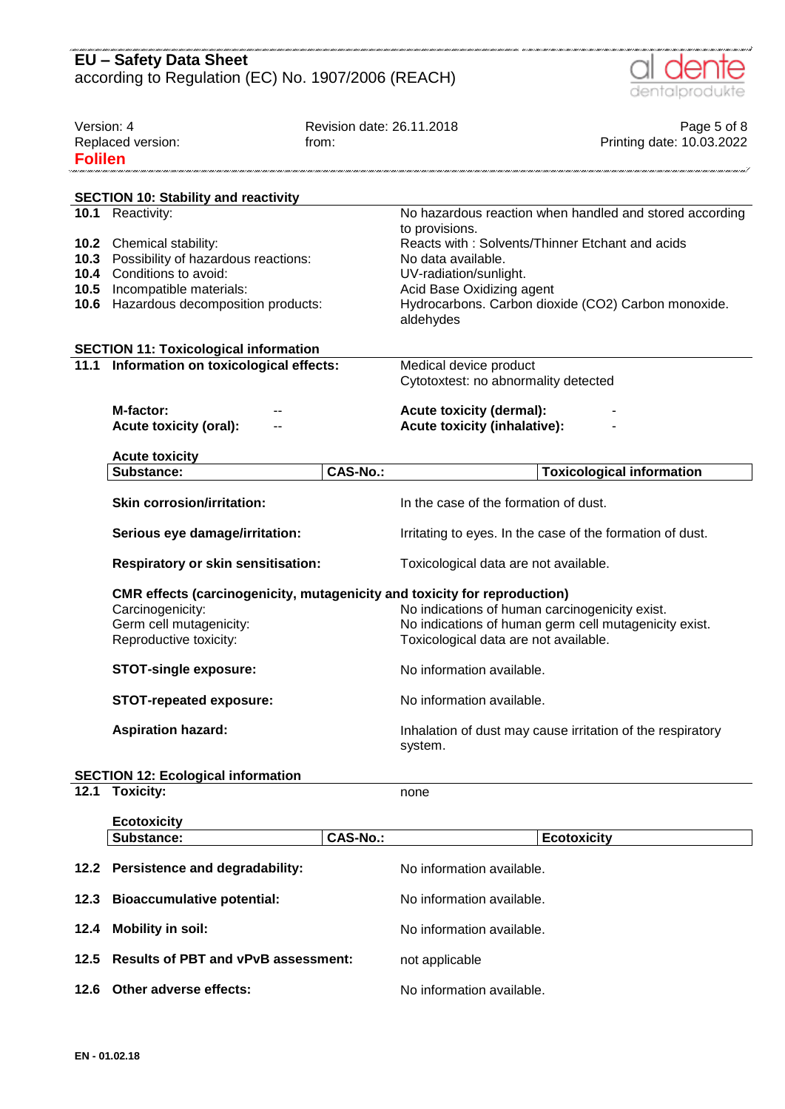|                              | <b>EU - Safety Data Sheet</b><br>according to Regulation (EC) No. 1907/2006 (REACH)                                                                     |                                    | dentalprodukte                                                                                                                                                                                                     |
|------------------------------|---------------------------------------------------------------------------------------------------------------------------------------------------------|------------------------------------|--------------------------------------------------------------------------------------------------------------------------------------------------------------------------------------------------------------------|
| Version: 4<br><b>Folilen</b> | Replaced version:                                                                                                                                       | Revision date: 26.11.2018<br>from: | Page 5 of 8<br>Printing date: 10.03.2022                                                                                                                                                                           |
|                              | <b>SECTION 10: Stability and reactivity</b>                                                                                                             |                                    |                                                                                                                                                                                                                    |
|                              | 10.1 Reactivity:                                                                                                                                        |                                    | No hazardous reaction when handled and stored according                                                                                                                                                            |
| 10.3<br>10.4<br>10.5<br>10.6 | 10.2 Chemical stability:<br>Possibility of hazardous reactions:<br>Conditions to avoid:<br>Incompatible materials:<br>Hazardous decomposition products: |                                    | to provisions.<br>Reacts with: Solvents/Thinner Etchant and acids<br>No data available.<br>UV-radiation/sunlight.<br>Acid Base Oxidizing agent<br>Hydrocarbons. Carbon dioxide (CO2) Carbon monoxide.<br>aldehydes |
|                              | <b>SECTION 11: Toxicological information</b>                                                                                                            |                                    |                                                                                                                                                                                                                    |
| 11.1                         | Information on toxicological effects:                                                                                                                   |                                    | Medical device product<br>Cytotoxtest: no abnormality detected                                                                                                                                                     |
|                              |                                                                                                                                                         |                                    |                                                                                                                                                                                                                    |
|                              | M-factor:                                                                                                                                               |                                    | <b>Acute toxicity (dermal):</b>                                                                                                                                                                                    |
|                              | <b>Acute toxicity (oral):</b>                                                                                                                           |                                    | <b>Acute toxicity (inhalative):</b>                                                                                                                                                                                |
|                              | <b>Acute toxicity</b>                                                                                                                                   |                                    |                                                                                                                                                                                                                    |
|                              | Substance:                                                                                                                                              | <b>CAS-No.:</b>                    | <b>Toxicological information</b>                                                                                                                                                                                   |
|                              | <b>Skin corrosion/irritation:</b>                                                                                                                       |                                    | In the case of the formation of dust.                                                                                                                                                                              |
|                              |                                                                                                                                                         |                                    |                                                                                                                                                                                                                    |
|                              | Serious eye damage/irritation:                                                                                                                          |                                    | Irritating to eyes. In the case of the formation of dust.                                                                                                                                                          |
|                              | <b>Respiratory or skin sensitisation:</b>                                                                                                               |                                    | Toxicological data are not available.                                                                                                                                                                              |
|                              | CMR effects (carcinogenicity, mutagenicity and toxicity for reproduction)<br>Carcinogenicity:<br>Germ cell mutagenicity:<br>Reproductive toxicity:      |                                    | No indications of human carcinogenicity exist.<br>No indications of human germ cell mutagenicity exist.<br>Toxicological data are not available.                                                                   |
|                              | <b>STOT-single exposure:</b>                                                                                                                            |                                    | No information available.                                                                                                                                                                                          |
|                              | <b>STOT-repeated exposure:</b>                                                                                                                          |                                    | No information available.                                                                                                                                                                                          |
|                              | <b>Aspiration hazard:</b>                                                                                                                               |                                    | Inhalation of dust may cause irritation of the respiratory<br>system.                                                                                                                                              |
|                              | <b>SECTION 12: Ecological information</b>                                                                                                               |                                    |                                                                                                                                                                                                                    |
| 12.1                         | <b>Toxicity:</b>                                                                                                                                        |                                    | none                                                                                                                                                                                                               |
|                              |                                                                                                                                                         |                                    |                                                                                                                                                                                                                    |
|                              | <b>Ecotoxicity</b><br>Substance:                                                                                                                        | <b>CAS-No.:</b>                    | <b>Ecotoxicity</b>                                                                                                                                                                                                 |
| 12.2                         | Persistence and degradability:                                                                                                                          |                                    | No information available.                                                                                                                                                                                          |
| 12.3                         | <b>Bioaccumulative potential:</b>                                                                                                                       |                                    | No information available.                                                                                                                                                                                          |

- **12.5 Results of PBT and vPvB assessment:** not applicable
- **12.6 Other adverse effects:** No information available.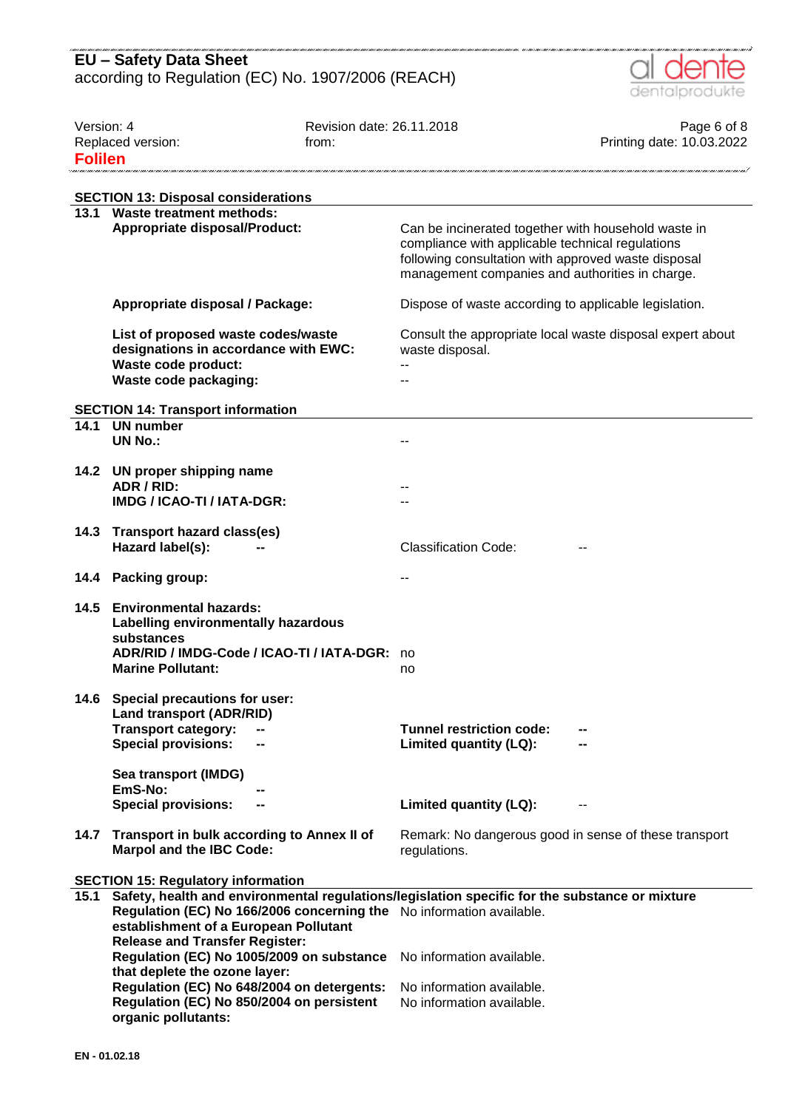

| Version: 4<br>Replaced version:<br><b>Folilen</b> |                                                                                                                                                                                                                                                          | Revision date: 26.11.2018<br>from: |                                                                                                                                                                                                                   | Page 6 of 8<br>Printing date: 10.03.2022 |
|---------------------------------------------------|----------------------------------------------------------------------------------------------------------------------------------------------------------------------------------------------------------------------------------------------------------|------------------------------------|-------------------------------------------------------------------------------------------------------------------------------------------------------------------------------------------------------------------|------------------------------------------|
|                                                   | <b>SECTION 13: Disposal considerations</b>                                                                                                                                                                                                               |                                    |                                                                                                                                                                                                                   |                                          |
|                                                   | 13.1 Waste treatment methods:<br>Appropriate disposal/Product:                                                                                                                                                                                           |                                    | Can be incinerated together with household waste in<br>compliance with applicable technical regulations<br>following consultation with approved waste disposal<br>management companies and authorities in charge. |                                          |
|                                                   | Appropriate disposal / Package:                                                                                                                                                                                                                          |                                    | Dispose of waste according to applicable legislation.                                                                                                                                                             |                                          |
|                                                   | List of proposed waste codes/waste<br>designations in accordance with EWC:<br>Waste code product:<br>Waste code packaging:                                                                                                                               |                                    | Consult the appropriate local waste disposal expert about<br>waste disposal.                                                                                                                                      |                                          |
|                                                   | <b>SECTION 14: Transport information</b>                                                                                                                                                                                                                 |                                    |                                                                                                                                                                                                                   |                                          |
| 14.1                                              | <b>UN number</b><br><b>UN No.:</b>                                                                                                                                                                                                                       |                                    |                                                                                                                                                                                                                   |                                          |
| 14.2                                              | UN proper shipping name<br>ADR / RID:<br>IMDG / ICAO-TI / IATA-DGR:                                                                                                                                                                                      |                                    |                                                                                                                                                                                                                   |                                          |
| 14.3                                              | <b>Transport hazard class(es)</b><br>Hazard label(s):                                                                                                                                                                                                    |                                    | <b>Classification Code:</b>                                                                                                                                                                                       |                                          |
| 14.4                                              | <b>Packing group:</b>                                                                                                                                                                                                                                    |                                    |                                                                                                                                                                                                                   |                                          |
| 14.5                                              | <b>Environmental hazards:</b><br>Labelling environmentally hazardous<br>substances<br>ADR/RID / IMDG-Code / ICAO-TI / IATA-DGR:<br><b>Marine Pollutant:</b>                                                                                              |                                    | no<br>no                                                                                                                                                                                                          |                                          |
| 14.6                                              | Special precautions for user:<br><b>Land transport (ADR/RID)</b><br><b>Transport category:</b><br><b>Special provisions:</b>                                                                                                                             |                                    | <b>Tunnel restriction code:</b><br>Limited quantity (LQ):                                                                                                                                                         |                                          |
|                                                   | Sea transport (IMDG)<br>EmS-No:<br><b>Special provisions:</b><br>--                                                                                                                                                                                      |                                    | Limited quantity (LQ):                                                                                                                                                                                            |                                          |
| 14.7                                              | Transport in bulk according to Annex II of<br><b>Marpol and the IBC Code:</b>                                                                                                                                                                            |                                    | Remark: No dangerous good in sense of these transport<br>regulations.                                                                                                                                             |                                          |
|                                                   | <b>SECTION 15: Regulatory information</b>                                                                                                                                                                                                                |                                    |                                                                                                                                                                                                                   |                                          |
| 15.1                                              | Safety, health and environmental regulations/legislation specific for the substance or mixture<br>Regulation (EC) No 166/2006 concerning the No information available.<br>establishment of a European Pollutant<br><b>Release and Transfer Register:</b> |                                    |                                                                                                                                                                                                                   |                                          |
|                                                   | Regulation (EC) No 1005/2009 on substance<br>that deplete the ozone layer:                                                                                                                                                                               |                                    | No information available.                                                                                                                                                                                         |                                          |
|                                                   | Regulation (EC) No 648/2004 on detergents:<br>Regulation (EC) No 850/2004 on persistent<br>organic pollutants:                                                                                                                                           |                                    | No information available.<br>No information available.                                                                                                                                                            |                                          |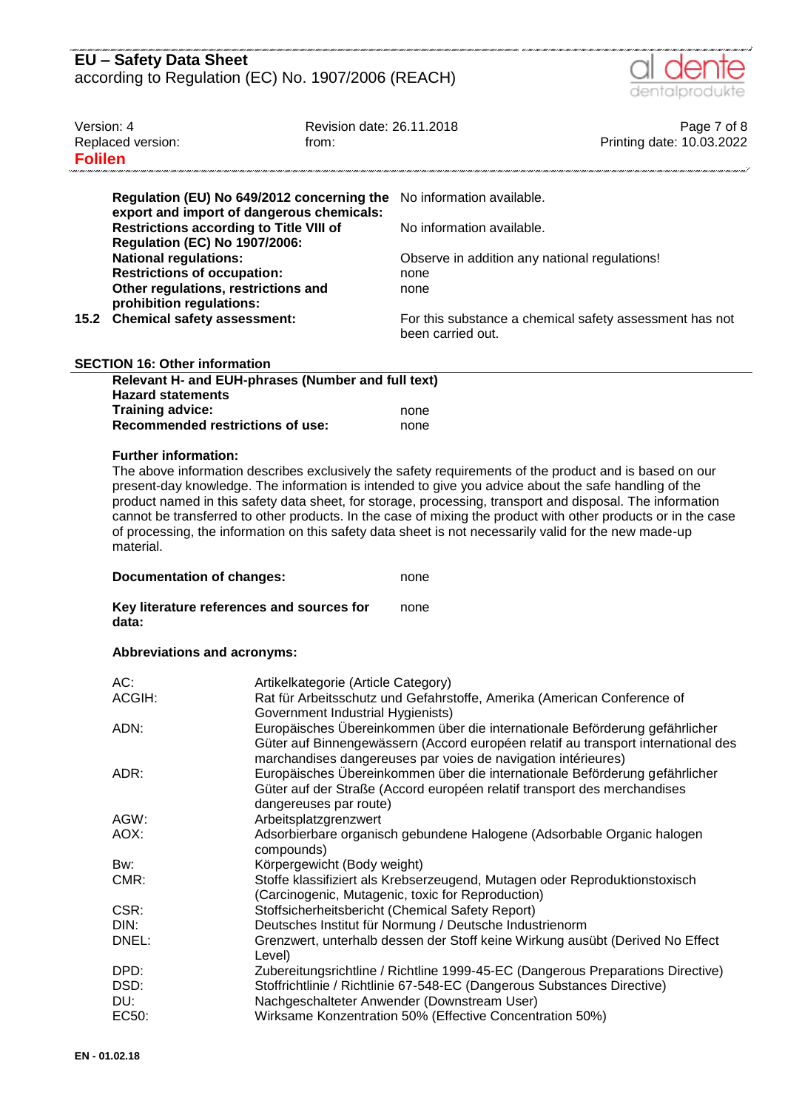

|                                                                                             |                                                                                                                                                                                                                                                                                                                                                  |                                                                                                                |                                                                                   | ----------------                         |  |
|---------------------------------------------------------------------------------------------|--------------------------------------------------------------------------------------------------------------------------------------------------------------------------------------------------------------------------------------------------------------------------------------------------------------------------------------------------|----------------------------------------------------------------------------------------------------------------|-----------------------------------------------------------------------------------|------------------------------------------|--|
| Version: 4<br>Replaced version:<br><b>Folilen</b>                                           |                                                                                                                                                                                                                                                                                                                                                  | Revision date: 26.11.2018<br>from:                                                                             |                                                                                   | Page 7 of 8<br>Printing date: 10.03.2022 |  |
|                                                                                             |                                                                                                                                                                                                                                                                                                                                                  |                                                                                                                |                                                                                   |                                          |  |
|                                                                                             |                                                                                                                                                                                                                                                                                                                                                  | Regulation (EU) No 649/2012 concerning the                                                                     | No information available.                                                         |                                          |  |
| export and import of dangerous chemicals:<br><b>Restrictions according to Title VIII of</b> |                                                                                                                                                                                                                                                                                                                                                  |                                                                                                                | No information available.                                                         |                                          |  |
|                                                                                             | <b>Regulation (EC) No 1907/2006:</b>                                                                                                                                                                                                                                                                                                             |                                                                                                                |                                                                                   |                                          |  |
|                                                                                             | <b>National regulations:</b>                                                                                                                                                                                                                                                                                                                     |                                                                                                                | Observe in addition any national regulations!                                     |                                          |  |
|                                                                                             | <b>Restrictions of occupation:</b>                                                                                                                                                                                                                                                                                                               |                                                                                                                | none                                                                              |                                          |  |
|                                                                                             | Other regulations, restrictions and                                                                                                                                                                                                                                                                                                              |                                                                                                                | none                                                                              |                                          |  |
| 15.2                                                                                        | prohibition regulations:<br><b>Chemical safety assessment:</b>                                                                                                                                                                                                                                                                                   |                                                                                                                |                                                                                   |                                          |  |
|                                                                                             |                                                                                                                                                                                                                                                                                                                                                  |                                                                                                                | For this substance a chemical safety assessment has not<br>been carried out.      |                                          |  |
|                                                                                             | <b>SECTION 16: Other information</b>                                                                                                                                                                                                                                                                                                             |                                                                                                                |                                                                                   |                                          |  |
| Relevant H- and EUH-phrases (Number and full text)                                          |                                                                                                                                                                                                                                                                                                                                                  |                                                                                                                |                                                                                   |                                          |  |
|                                                                                             | <b>Hazard statements</b>                                                                                                                                                                                                                                                                                                                         |                                                                                                                |                                                                                   |                                          |  |
|                                                                                             | <b>Training advice:</b>                                                                                                                                                                                                                                                                                                                          |                                                                                                                | none                                                                              |                                          |  |
|                                                                                             | <b>Recommended restrictions of use:</b>                                                                                                                                                                                                                                                                                                          |                                                                                                                | none                                                                              |                                          |  |
|                                                                                             | <b>Further information:</b>                                                                                                                                                                                                                                                                                                                      |                                                                                                                |                                                                                   |                                          |  |
|                                                                                             | product named in this safety data sheet, for storage, processing, transport and disposal. The information<br>cannot be transferred to other products. In the case of mixing the product with other products or in the case<br>of processing, the information on this safety data sheet is not necessarily valid for the new made-up<br>material. |                                                                                                                |                                                                                   |                                          |  |
|                                                                                             | <b>Documentation of changes:</b><br>none                                                                                                                                                                                                                                                                                                         |                                                                                                                |                                                                                   |                                          |  |
|                                                                                             | Key literature references and sources for<br>none<br>data:                                                                                                                                                                                                                                                                                       |                                                                                                                |                                                                                   |                                          |  |
|                                                                                             | <b>Abbreviations and acronyms:</b>                                                                                                                                                                                                                                                                                                               |                                                                                                                |                                                                                   |                                          |  |
|                                                                                             | AC:                                                                                                                                                                                                                                                                                                                                              |                                                                                                                |                                                                                   |                                          |  |
|                                                                                             | ACGIH:                                                                                                                                                                                                                                                                                                                                           | Artikelkategorie (Article Category)<br>Rat für Arbeitsschutz und Gefahrstoffe, Amerika (American Conference of |                                                                                   |                                          |  |
|                                                                                             | Government Industrial Hygienists)                                                                                                                                                                                                                                                                                                                |                                                                                                                |                                                                                   |                                          |  |
|                                                                                             | Europäisches Übereinkommen über die internationale Beförderung gefährlicher<br>ADN:                                                                                                                                                                                                                                                              |                                                                                                                |                                                                                   |                                          |  |
|                                                                                             |                                                                                                                                                                                                                                                                                                                                                  |                                                                                                                | Güter auf Binnengewässern (Accord européen relatif au transport international des |                                          |  |
|                                                                                             |                                                                                                                                                                                                                                                                                                                                                  |                                                                                                                | marchandises dangereuses par voies de navigation intérieures)                     |                                          |  |
|                                                                                             | ADR:                                                                                                                                                                                                                                                                                                                                             |                                                                                                                | Europäisches Übereinkommen über die internationale Beförderung gefährlicher       |                                          |  |
|                                                                                             |                                                                                                                                                                                                                                                                                                                                                  | dangereuses par route)                                                                                         | Güter auf der Straße (Accord européen relatif transport des merchandises          |                                          |  |
|                                                                                             | AGW:                                                                                                                                                                                                                                                                                                                                             | Arbeitsplatzgrenzwert                                                                                          |                                                                                   |                                          |  |
|                                                                                             | AOX:                                                                                                                                                                                                                                                                                                                                             | Adsorbierbare organisch gebundene Halogene (Adsorbable Organic halogen                                         |                                                                                   |                                          |  |
|                                                                                             | compounds)                                                                                                                                                                                                                                                                                                                                       |                                                                                                                |                                                                                   |                                          |  |
|                                                                                             | Bw:                                                                                                                                                                                                                                                                                                                                              | Körpergewicht (Body weight)                                                                                    |                                                                                   |                                          |  |
|                                                                                             | CMR:                                                                                                                                                                                                                                                                                                                                             | Stoffe klassifiziert als Krebserzeugend, Mutagen oder Reproduktionstoxisch                                     |                                                                                   |                                          |  |
|                                                                                             |                                                                                                                                                                                                                                                                                                                                                  |                                                                                                                | (Carcinogenic, Mutagenic, toxic for Reproduction)                                 |                                          |  |
|                                                                                             | CSR:                                                                                                                                                                                                                                                                                                                                             |                                                                                                                | Stoffsicherheitsbericht (Chemical Safety Report)                                  |                                          |  |
|                                                                                             | DIN:                                                                                                                                                                                                                                                                                                                                             | Deutsches Institut für Normung / Deutsche Industrienorm                                                        |                                                                                   |                                          |  |
|                                                                                             | DNEL:<br>Grenzwert, unterhalb dessen der Stoff keine Wirkung ausübt (Derived No Effect                                                                                                                                                                                                                                                           |                                                                                                                |                                                                                   |                                          |  |
|                                                                                             |                                                                                                                                                                                                                                                                                                                                                  | Level)                                                                                                         |                                                                                   |                                          |  |
|                                                                                             | DPD:                                                                                                                                                                                                                                                                                                                                             | Zubereitungsrichtline / Richtline 1999-45-EC (Dangerous Preparations Directive)                                |                                                                                   |                                          |  |

DSD: Stoffrichtlinie / Richtlinie 67-548-EC (Dangerous Substances Directive)